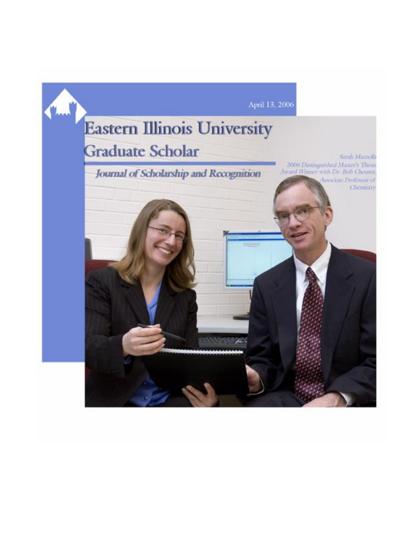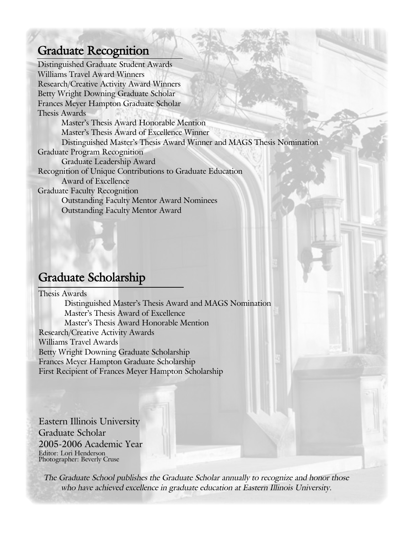# **Graduate Recognition**

Distinguished Graduate Student Awards Williams Travel Award Winners Research/Creative Activity Award Winners Betty Wright Downing Graduate Scholar Frances Meyer Hampton Graduate Scholar Thesis Awards Master's Thesis Award Honorable Mention Master's Thesis Award of Excellence Winner Distinguished Master's Thesis Award Winner and MAGS Thesis Nomination Graduate Program Recognition Graduate Leadership Award Recognition of Unique Contributions to Graduate Education Award of Excellence Graduate Faculty Recognition Outstanding Faculty Mentor Award Nominees Outstanding Faculty Mentor Award

# **Graduate Scholarship**

Thesis Awards Distinguished Master's Thesis Award and MAGS Nomination Master's Thesis Award of Excellence Master's Thesis Award Honorable Mention Research/Creative Activity Awards Williams Travel Awards Betty Wright Downing Graduate Scholarship Frances Meyer Hampton Graduate Scholarship First Recipient of Frances Meyer Hampton Scholarship

Eastern Illinois University Graduate Scholar 2005-2006 Academic Year Editor: Lori Henderson Photographer: Beverly Cruse

*The Graduate School publishes the Graduate Scholar annually to recognize and honor those who have achieved excellence in graduate education at Eastern Illinois University.*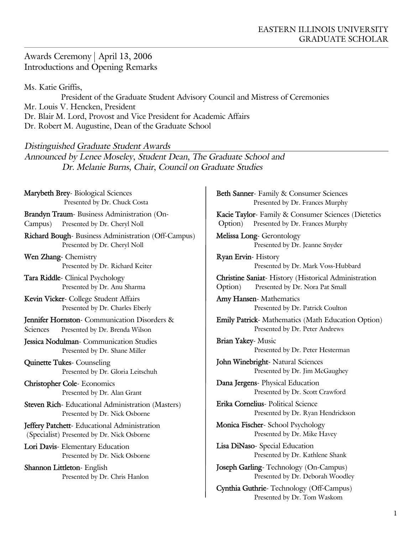Awards Ceremony | April 13, 2006 Introductions and Opening Remarks

Ms. Katie Griffis, President of the Graduate Student Advisory Council and Mistress of Ceremonies Mr. Louis V. Hencken, President Dr. Blair M. Lord, Provost and Vice President for Academic Affairs Dr. Robert M. Augustine, Dean of the Graduate School

*Distinguished Graduate Student Awards*

*Announced by Lenee Moseley, Student Dean, The Graduate School and Dr. Melanie Burns, Chair, Council on Graduate Studies*

**Marybeth Brey**- Biological Sciences Presented by Dr. Chuck Costa **Brandyn Traum**- Business Administration (On-Campus) Presented by Dr. Cheryl Noll **Richard Bough**- Business Administration (Off-Campus) Presented by Dr. Cheryl Noll **Wen Zhang**- Chemistry Presented by Dr. Richard Keiter **Tara Riddle**- Clinical Psychology Presented by Dr. Anu Sharma **Kevin Vicker**- College Student Affairs Presented by Dr. Charles Eberly **Jennifer Hornston**- Communication Disorders & Sciences Presented by Dr. Brenda Wilson **Jessica Nodulman**- Communication Studies Presented by Dr. Shane Miller **Quinette Tukes**- Counseling Presented by Dr. Gloria Leitschuh **Christopher Cole**- Economics Presented by Dr. Alan Grant **Steven Rich**- Educational Administration (Masters) Presented by Dr. Nick Osborne **Jeffery Patchett**- Educational Administration (Specialist) Presented by Dr. Nick Osborne **Lori Davis**- Elementary Education Presented by Dr. Nick Osborne **Shannon Littleton**- English Presented by Dr. Chris Hanlon

**Beth Sanner**- Family & Consumer Sciences Presented by Dr. Frances Murphy **Kacie Taylor**- Family & Consumer Sciences (Dietetics Option) Presented by Dr. Frances Murphy **Melissa Long**- Gerontology Presented by Dr. Jeanne Snyder **Ryan Ervin**- History Presented by Dr. Mark Voss-Hubbard **Christine Saniat**- History (Historical Administration Option) Presented by Dr. Nora Pat Small **Amy Hansen**- Mathematics Presented by Dr. Patrick Coulton **Emily Patrick**- Mathematics (Math Education Option) Presented by Dr. Peter Andrews **Brian Yakey**- Music Presented by Dr. Peter Hesterman **John Winebright**- Natural Sciences Presented by Dr. Jim McGaughey **Dana Jergens**- Physical Education Presented by Dr. Scott Crawford **Erika Cornelius**- Political Science Presented by Dr. Ryan Hendrickson **Monica Fischer**- School Psychology Presented by Dr. Mike Havey **Lisa DiNaso**- Special Education Presented by Dr. Kathlene Shank **Joseph Garling**- Technology (On-Campus) Presented by Dr. Deborah Woodley **Cynthia Guthrie**- Technology (Off-Campus) Presented by Dr. Tom Waskom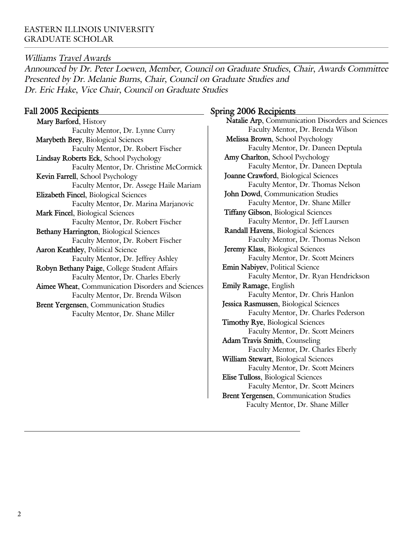## *Williams Travel Awards*

*Announced by Dr. Peter Loewen, Member, Council on Graduate Studies, Chair, Awards Committee Presented by Dr. Melanie Burns, Chair, Council on Graduate Studies and Dr. Eric Hake, Vice Chair, Council on Graduate Studies*

#### **Fall 2005 Recipients**

 **Mary Barford**, History Faculty Mentor, Dr. Lynne Curry **Marybeth Brey**, Biological Sciences Faculty Mentor, Dr. Robert Fischer  **Lindsay Roberts Eck**, School Psychology Faculty Mentor, Dr. Christine McCormick **Kevin Farrell**, School Psychology Faculty Mentor, Dr. Assege Haile Mariam **Elizabeth Fincel**, Biological Sciences Faculty Mentor, Dr. Marina Marjanovic **Mark Fincel**, Biological Sciences Faculty Mentor, Dr. Robert Fischer **Bethany Harrington**, Biological Sciences Faculty Mentor, Dr. Robert Fischer **Aaron Keathley**, Political Science Faculty Mentor, Dr. Jeffrey Ashley **Robyn Bethany Paige**, College Student Affairs Faculty Mentor, Dr. Charles Eberly **Aimee Wheat**, Communication Disorders and Sciences Faculty Mentor, Dr. Brenda Wilson **Brent Yergensen**, Communication Studies Faculty Mentor, Dr. Shane Miller

#### **Spring 2006 Recipients**

 **Natalie Arp**, Communication Disorders and Sciences Faculty Mentor, Dr. Brenda Wilson **Melissa Brown**, School Psychology Faculty Mentor, Dr. Daneen Deptula **Amy Charlton**, School Psychology Faculty Mentor, Dr. Daneen Deptula **Joanne Crawford**, Biological Sciences Faculty Mentor, Dr. Thomas Nelson **John Dowd**, Communication Studies Faculty Mentor, Dr. Shane Miller **Tiffany Gibson**, Biological Sciences Faculty Mentor, Dr. Jeff Laursen **Randall Havens**, Biological Sciences Faculty Mentor, Dr. Thomas Nelson **Jeremy Klass**, Biological Sciences Faculty Mentor, Dr. Scott Meiners **Emin Nabiyev**, Political Science Faculty Mentor, Dr. Ryan Hendrickson **Emily Ramage**, English Faculty Mentor, Dr. Chris Hanlon **Jessica Rasmussen**, Biological Sciences Faculty Mentor, Dr. Charles Pederson **Timothy Rye**, Biological Sciences Faculty Mentor, Dr. Scott Meiners **Adam Travis Smith**, Counseling Faculty Mentor, Dr. Charles Eberly **William Stewart**, Biological Sciences Faculty Mentor, Dr. Scott Meiners **Elise Tulloss**, Biological Sciences Faculty Mentor, Dr. Scott Meiners **Brent Yergensen**, Communication Studies Faculty Mentor, Dr. Shane Miller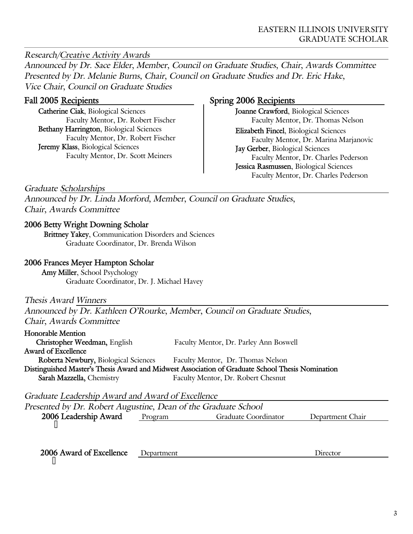*Research/Creative Activity Awards*

*Announced by Dr. Sace Elder, Member, Council on Graduate Studies, Chair, Awards Committee Presented by Dr. Melanie Burns, Chair, Council on Graduate Studies and Dr. Eric Hake, Vice Chair, Council on Graduate Studies*

## **Fall 2005 Recipients**

 **Catherine Ciak**, Biological Sciences Faculty Mentor, Dr. Robert Fischer **Bethany Harrington**, Biological Sciences Faculty Mentor, Dr. Robert Fischer **Jeremy Klass**, Biological Sciences Faculty Mentor, Dr. Scott Meiners

## **Spring 2006 Recipients**

 **Joanne Crawford**, Biological Sciences Faculty Mentor, Dr. Thomas Nelson  **Elizabeth Fincel**, Biological Sciences Faculty Mentor, Dr. Marina Marjanovic **Jay Gerber**, Biological Sciences Faculty Mentor, Dr. Charles Pederson **Jessica Rasmussen**, Biological Sciences Faculty Mentor, Dr. Charles Pederson

*Graduate Scholarships*

*Announced by Dr. Linda Morford, Member, Council on Graduate Studies, Chair, Awards Committee*

## **2006 Betty Wright Downing Scholar**

 **Brittney Yakey**, Communication Disorders and Sciences Graduate Coordinator, Dr. Brenda Wilson

## **2006 Frances Meyer Hampton Scholar**

 **Amy Miller**, School Psychology Graduate Coordinator, Dr. J. Michael Havey

*Thesis Award Winners*

*Announced by Dr. Kathleen O'Rourke, Member, Council on Graduate Studies, Chair, Awards Committee*

#### **Honorable Mention**

 **Christopher Weedman,** EnglishFaculty Mentor, Dr. Parley Ann Boswell **Award of Excellence Roberta Newbury,** Biological Sciences Faculty Mentor, Dr. Thomas Nelson **Distinguished Master's Thesis Award and Midwest Association of Graduate School Thesis Nomination Sarah Mazzella, Chemistry Faculty Mentor, Dr. Robert Chesnut** 

|  |  | Graduate Leadership Award and Award of Excellence |
|--|--|---------------------------------------------------|
|  |  |                                                   |

| Presented by Dr. Robert Augustine, Dean of the Graduate School |         |                      |                  |  |  |  |
|----------------------------------------------------------------|---------|----------------------|------------------|--|--|--|
| 2006 Leadership Award                                          | Program | Graduate Coordinator | Department Chair |  |  |  |
|                                                                |         |                      |                  |  |  |  |

| 2006 Award of Excellence | Department . |  |
|--------------------------|--------------|--|
|                          |              |  |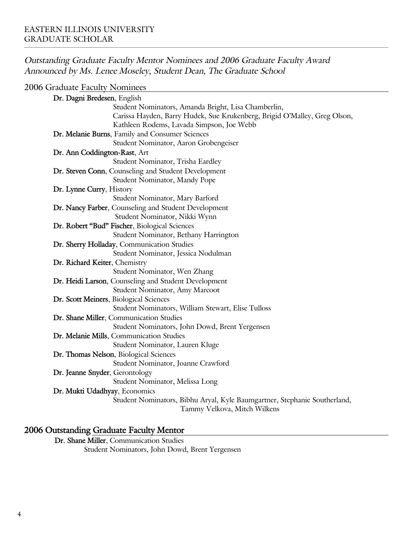## *Outstanding Graduate Faculty Mentor Nominees and 2006 Graduate Faculty Award Announced by Ms. Lenee Moseley, Student Dean, The Graduate School*

## 2006 Graduate Faculty Nominees

| Dr. Dagni Bredesen, English                                                                               |  |  |  |
|-----------------------------------------------------------------------------------------------------------|--|--|--|
| Student Nominators, Amanda Bright, Lisa Chamberlin,                                                       |  |  |  |
| Carissa Hayden, Barry Hudek, Sue Krukenberg, Brigid O'Malley, Greg Olson,                                 |  |  |  |
| Kathleen Rodems, Lavada Simpson, Joe Webb                                                                 |  |  |  |
| Dr. Melanie Burns, Family and Consumer Sciences                                                           |  |  |  |
| Student Nominator, Aaron Grobengeiser                                                                     |  |  |  |
| Dr. Ann Coddington-Rast, Art                                                                              |  |  |  |
| Student Nominator, Trisha Eardley                                                                         |  |  |  |
| Dr. Steven Conn, Counseling and Student Development                                                       |  |  |  |
| Student Nominator, Mandy Pope                                                                             |  |  |  |
| Dr. Lynne Curry, History                                                                                  |  |  |  |
| Student Nominator, Mary Barford                                                                           |  |  |  |
| Dr. Nancy Farber, Counseling and Student Development                                                      |  |  |  |
| Student Nominator, Nikki Wynn                                                                             |  |  |  |
| Dr. Robert "Bud" Fischer, Biological Sciences                                                             |  |  |  |
| Student Nominator, Bethany Harrington                                                                     |  |  |  |
| Dr. Sherry Holladay, Communication Studies                                                                |  |  |  |
| Student Nominator, Jessica Nodulman                                                                       |  |  |  |
| Dr. Richard Keiter, Chemistry                                                                             |  |  |  |
| Student Nominator, Wen Zhang                                                                              |  |  |  |
| Dr. Heidi Larson, Counseling and Student Development                                                      |  |  |  |
| Student Nominator, Amy Marcoot                                                                            |  |  |  |
| Dr. Scott Meiners, Biological Sciences                                                                    |  |  |  |
| Student Nominators, William Stewart, Elise Tulloss                                                        |  |  |  |
| Dr. Shane Miller, Communication Studies                                                                   |  |  |  |
| Student Nominators, John Dowd, Brent Yergensen                                                            |  |  |  |
| Dr. Melanie Mills, Communication Studies                                                                  |  |  |  |
| Student Nominator, Lauren Kluge                                                                           |  |  |  |
| Dr. Thomas Nelson, Biological Sciences                                                                    |  |  |  |
| Student Nominator, Joanne Crawford                                                                        |  |  |  |
| Dr. Jeanne Snyder, Gerontology                                                                            |  |  |  |
| Student Nominator, Melissa Long                                                                           |  |  |  |
| Dr. Mukti Udadhyay, Economics                                                                             |  |  |  |
| Student Nominators, Bibhu Aryal, Kyle Baumgartner, Stephanie Southerland,<br>Tammy Velkova, Mitch Wilkens |  |  |  |

## **2006 Outstanding Graduate Faculty Mentor**

 **Dr. Shane Miller**, Communication Studies Student Nominators, John Dowd, Brent Yergensen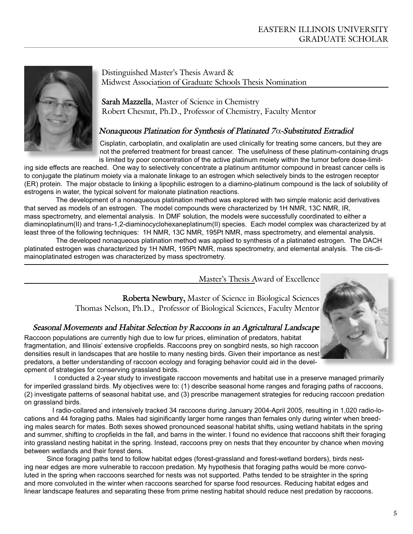

## Distinguished Master's Thesis Award & Midwest Association of Graduate Schools Thesis Nomination

 **Sarah Mazzella**, Master of Science in Chemistry Robert Chesnut, Ph.D., Professor of Chemistry, Faculty Mentor

## *Nonaqueous Platination for Synthesis of Platinated 7*α*-Substituted Estradiol*

Cisplatin, carboplatin, and oxaliplatin are used clinically for treating some cancers, but they are not the preferred treatment for breast cancer. The usefulness of these platinum-containing drugs is limited by poor concentration of the active platinum moiety within the tumor before dose-limit-

ing side effects are reached. One way to selectively concentrate a platinum antitumor compound in breast cancer cells is to conjugate the platinum moiety via a malonate linkage to an estrogen which selectively binds to the estrogen receptor (ER) protein. The major obstacle to linking a lipophilic estrogen to a diamino-platinum compound is the lack of solubility of estrogens in water, the typical solvent for malonate platination reactions.

 The development of a nonaqueous platination method was explored with two simple malonic acid derivatives that served as models of an estrogen. The model compounds were characterized by 1H NMR, 13C NMR, IR, mass spectrometry, and elemental analysis. In DMF solution, the models were successfully coordinated to either a diaminoplatinum(II) and trans-1,2-diaminocyclohexaneplatinum(II) species. Each model complex was characterized by at least three of the following techniques: 1H NMR, 13C NMR, 195Pt NMR, mass spectrometry, and elemental analysis.

 The developed nonaqueous platination method was applied to synthesis of a platinated estrogen. The DACH platinated estrogen was characterized by 1H NMR, 195Pt NMR, mass spectrometry, and elemental analysis. The cis-dimainoplatinated estrogen was characterized by mass spectrometry.

Master's Thesis Award of Excellence

**Roberta Newbury,** Master of Science in Biological Sciences Thomas Nelson, Ph.D., Professor of Biological Sciences, Faculty Mentor

## *Seasonal Movements and Habitat Selection by Raccoons in an Agricultural Landscape*

Raccoon populations are currently high due to low fur prices, elimination of predators, habitat fragmentation, and Illinois' extensive cropfields. Raccoons prey on songbird nests, so high raccoon densities result in landscapes that are hostile to many nesting birds. Given their importance as nest predators, a better understanding of raccoon ecology and foraging behavior could aid in the development of strategies for conserving grassland birds.

 I conducted a 2-year study to investigate raccoon movements and habitat use in a preserve managed primarily for imperiled grassland birds. My objectives were to: (1) describe seasonal home ranges and foraging paths of raccoons, (2) investigate patterns of seasonal habitat use, and (3) prescribe management strategies for reducing raccoon predation on grassland birds.

 I radio-collared and intensively tracked 34 raccoons during January 2004-April 2005, resulting in 1,020 radio-locations and 44 foraging paths. Males had siginificantly larger home ranges than females only during winter when breeding males search for mates. Both sexes showed pronounced seasonal habitat shifts, using wetland habitats in the spring and summer, shifting to cropfields in the fall, and barns in the winter. I found no evidence that raccoons shift their foraging into grassland nesting habitat in the spring. Instead, raccoons prey on nests that they encounter by chance when moving between wetlands and their forest dens.

 Since foraging paths tend to follow habitat edges (forest-grassland and forest-wetland borders), birds nesting near edges are more vulnerable to raccoon predation. My hypothesis that foraging paths would be more convoluted in the spring when raccoons searched for nests was not supported. Paths tended to be straighter in the spring and more convoluted in the winter when raccoons searched for sparse food resources. Reducing habitat edges and linear landscape features and separating these from prime nesting habitat should reduce nest predation by raccoons.

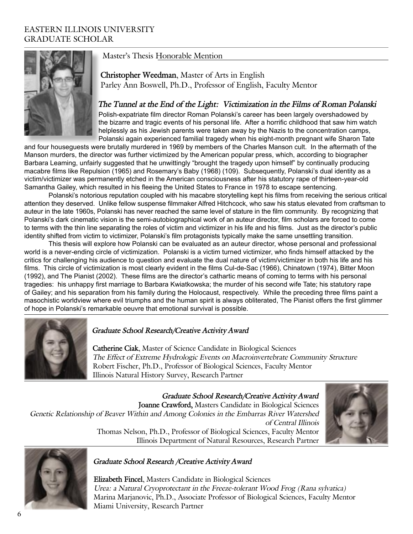## EASTERN ILLINOIS UNIVERSITY GRADUATE SCHOLAR



## Master's Thesis Honorable Mention

 **Christopher Weedman**, Master of Arts in English Parley Ann Boswell, Ph.D., Professor of English, Faculty Mentor

*The Tunnel at the End of the Light: Victimization in the Films of Roman Polanski* Polish-expatriate film director Roman Polanski's career has been largely overshadowed by the bizarre and tragic events of his personal life. After a horrific childhood that saw him watch helplessly as his Jewish parents were taken away by the Nazis to the concentration camps, Polanski again experienced familial tragedy when his eight-month pregnant wife Sharon Tate

and four houseguests were brutally murdered in 1969 by members of the Charles Manson cult. In the aftermath of the Manson murders, the director was further victimized by the American popular press, which, according to biographer Barbara Leaming, unfairly suggested that he unwittingly "brought the tragedy upon himself" by continually producing macabre films like Repulsion (1965) and Rosemary's Baby (1968) (109). Subsequently, Polanski's dual identity as a victim/victimizer was permanently etched in the American consciousness after his statutory rape of thirteen-year-old Samantha Gailey, which resulted in his fleeing the United States to France in 1978 to escape sentencing.

 Polanski's notorious reputation coupled with his macabre storytelling kept his films from receiving the serious critical attention they deserved. Unlike fellow suspense filmmaker Alfred Hitchcock, who saw his status elevated from craftsman to auteur in the late 1960s, Polanski has never reached the same level of stature in the film community. By recognizing that Polanski's dark cinematic vision is the semi-autobiographical work of an auteur director, film scholars are forced to come to terms with the thin line separating the roles of victim and victimizer in his life and his films. Just as the director's public identity shifted from victim to victimizer, Polanski's film protagonists typically make the same unsettling transition.

 This thesis will explore how Polanski can be evaluated as an auteur director, whose personal and professional world is a never-ending circle of victimization. Polanski is a victim turned victimizer, who finds himself attacked by the critics for challenging his audience to question and evaluate the dual nature of victim/victimizer in both his life and his films. This circle of victimization is most clearly evident in the films Cul-de-Sac (1966), Chinatown (1974), Bitter Moon (1992), and The Pianist (2002). These films are the director's cathartic means of coming to terms with his personal tragedies: his unhappy first marriage to Barbara Kwiatkowska; the murder of his second wife Tate; his statutory rape of Gailey; and his separation from his family during the Holocaust, respectively. While the preceding three films paint a masochistic worldview where evil triumphs and the human spirit is always obliterated, The Pianist offers the first glimmer of hope in Polanski's remarkable oeuvre that emotional survival is possible.



## *Graduate School Research/Creative Activity Award*

**Catherine Ciak**, Master of Science Candidate in Biological Sciences *The Effect of Extreme Hydrologic Events on Macroinvertebrate Community Structure* Robert Fischer, Ph.D., Professor of Biological Sciences, Faculty Mentor Illinois Natural History Survey, Research Partner

*Graduate School Research/Creative Activity Award* **Joanne Crawford,** Masters Candidate in Biological Sciences *Genetic Relationship of Beaver Within and Among Colonies in the Embarras River Watershed of Central Illinois* Thomas Nelson, Ph.D., Professor of Biological Sciences, Faculty Mentor Illinois Department of Natural Resources, Research Partner





#### *Graduate School Research /Creative Activity Award*

**Elizabeth Fincel**, Masters Candidate in Biological Sciences *Urea: a Natural Cryoprotectant in the Freeze-tolerant Wood Frog (Rana sylvatica)* Marina Marjanovic, Ph.D., Associate Professor of Biological Sciences, Faculty Mentor Miami University, Research Partner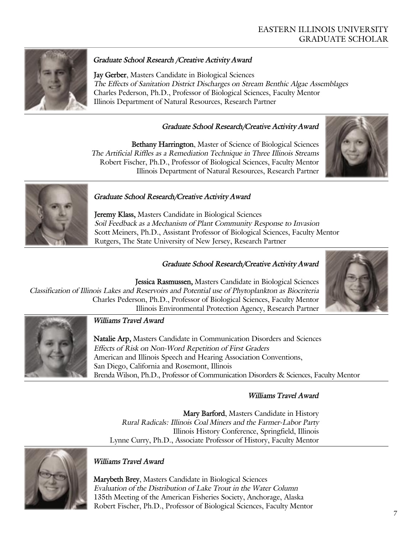

## *Graduate School Research /Creative Activity Award*

**Jay Gerber**, Masters Candidate in Biological Sciences *The Effects of Sanitation District Discharges on Stream Benthic Algae Assemblages* Charles Pederson, Ph.D., Professor of Biological Sciences, Faculty Mentor Illinois Department of Natural Resources, Research Partner

## *Graduate School Research/Creative Activity Award*

**Bethany Harrington**, Master of Science of Biological Sciences *The Artificial Riffles as a Remediation Technique in Three Illinois Streams* Robert Fischer, Ph.D., Professor of Biological Sciences, Faculty Mentor Illinois Department of Natural Resources, Research Partner





#### *Graduate School Research/Creative Activity Award*

**Jeremy Klass,** Masters Candidate in Biological Sciences *Soil Feedback as a Mechanism of Plant Community Response to Invasion* Scott Meiners, Ph.D., Assistant Professor of Biological Sciences, Faculty Mentor Rutgers, The State University of New Jersey, Research Partner

#### *Graduate School Research/Creative Activity Award*

**Jessica Rasmussen***,* Masters Candidate in Biological Sciences *Classification of Illinois Lakes and Reservoirs and Potential use of Phytoplankton as Biocriteria* Charles Pederson, Ph.D., Professor of Biological Sciences, Faculty Mentor Illinois Environmental Protection Agency, Research Partner





#### *Williams Travel Award*

**Natalie Arp***,* Masters Candidate in Communication Disorders and Sciences *Effects of Risk on Non-Word Repetition of First Graders* American and Illinois Speech and Hearing Association Conventions, San Diego, California and Rosemont, Illinois Brenda Wilson, Ph.D., Professor of Communication Disorders & Sciences, Faculty Mentor

#### *Williams Travel Award*

**Mary Barford**, Masters Candidate in History *Rural Radicals: Illinois Coal Miners and the Farmer-Labor Party* Illinois History Conference, Springfield, Illinois Lynne Curry, Ph.D., Associate Professor of History, Faculty Mentor



#### *Williams Travel Award*

**Marybeth Brey**, Masters Candidate in Biological Sciences *Evaluation of the Distribution of Lake Trout in the Water Column* 135th Meeting of the American Fisheries Society, Anchorage, Alaska Robert Fischer, Ph.D., Professor of Biological Sciences, Faculty Mentor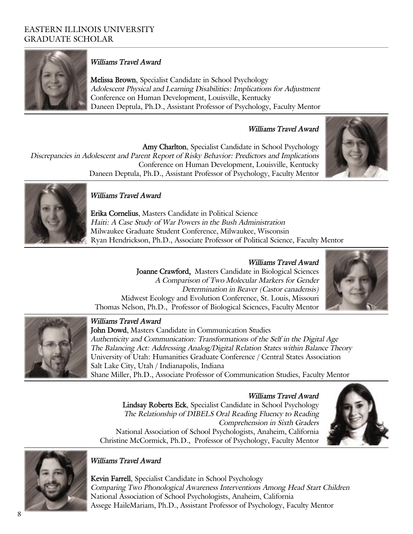

## *Williams Travel Award*

**Melissa Brown**, Specialist Candidate in School Psychology *Adolescent Physical and Learning Disabilities: Implications for Adjustment* Conference on Human Development, Louisville, Kentucky Daneen Deptula, Ph.D., Assistant Professor of Psychology, Faculty Mentor

#### *Williams Travel Award*

**Amy Charlton**, Specialist Candidate in School Psychology *Discrepancies in Adolescent and Parent Report of Risky Behavior: Predictors and Implications* Conference on Human Development, Louisville, Kentucky Daneen Deptula, Ph.D., Assistant Professor of Psychology, Faculty Mentor





## *Williams Travel Award*

**Erika Cornelius**, Masters Candidate in Political Science *Haiti: A Case Study of War Powers in the Bush Administration* Milwaukee Graduate Student Conference, Milwaukee, Wisconsin Ryan Hendrickson, Ph.D., Associate Professor of Political Science, Faculty Mentor

*Williams Travel Award* **Joanne Crawford,** Masters Candidate in Biological Sciences *A Comparison of Two Molecular Markers for Gender Determination in Beaver (Castor canadensis)* Midwest Ecology and Evolution Conference, St. Louis, Missouri Thomas Nelson, Ph.D., Professor of Biological Sciences, Faculty Mentor





## *Williams Travel Award*

**John Dowd**, Masters Candidate in Communication Studies *Authenticity and Communication: Transformations of the Self in the Digital Age The Balancing Act: Addressing Analog/Digital Relation States within Balance Theory* University of Utah: Humanities Graduate Conference / Central States Association Salt Lake City, Utah / Indianapolis, Indiana Shane Miller, Ph.D., Associate Professor of Communication Studies, Faculty Mentor

*Williams Travel Award* **Lindsay Roberts Eck**, Specialist Candidate in School Psychology *The Relationship of DIBELS Oral Reading Fluency to Reading Comprehension in Sixth Graders* National Association of School Psychologists, Anaheim, California Christine McCormick, Ph.D., Professor of Psychology, Faculty Mentor





## *Williams Travel Award*

**Kevin Farrell**, Specialist Candidate in School Psychology *Comparing Two Phonological Awareness Interventions Among Head Start Children* National Association of School Psychologists, Anaheim, California Assege HaileMariam, Ph.D., Assistant Professor of Psychology, Faculty Mentor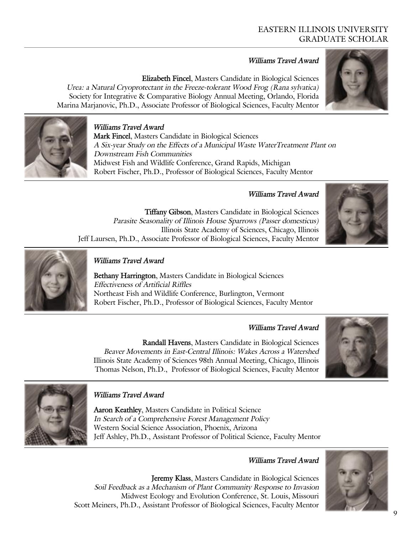## EASTERN ILLINOIS UNIVERSITY GRADUATE SCHOLAR

## *Williams Travel Award*

**Elizabeth Fincel**, Masters Candidate in Biological Sciences *Urea: a Natural Cryoprotectant in the Freeze-tolerant Wood Frog (Rana sylvatica)* Society for Integrative & Comparative Biology Annual Meeting, Orlando, Florida Marina Marjanovic, Ph.D., Associate Professor of Biological Sciences, Faculty Mentor



#### *Williams Travel Award*

**Mark Fincel**, Masters Candidate in Biological Sciences *A Six-year Study on the Effects of a Municipal Waste WaterTreatment Plant on Downstream Fish Communities* Midwest Fish and Wildlife Conference, Grand Rapids, Michigan Robert Fischer, Ph.D., Professor of Biological Sciences, Faculty Mentor

## *Williams Travel Award*

**Tiffany Gibson**, Masters Candidate in Biological Sciences *Parasite Seasonality of Illinois House Sparrows (Passer domesticus)* Illinois State Academy of Sciences, Chicago, Illinois Jeff Laursen, Ph.D., Associate Professor of Biological Sciences, Faculty Mentor





## *Williams Travel Award*

**Bethany Harrington**, Masters Candidate in Biological Sciences *Effectiveness of Artificial Riffles* Northeast Fish and Wildlife Conference, Burlington, Vermont Robert Fischer, Ph.D., Professor of Biological Sciences, Faculty Mentor

#### *Williams Travel Award*

**Randall Havens**, Masters Candidate in Biological Sciences *Beaver Movements in East-Central Illinois: Wakes Across a Watershed* Illinois State Academy of Sciences 98th Annual Meeting, Chicago, Illinois Thomas Nelson, Ph.D., Professor of Biological Sciences, Faculty Mentor





#### *Williams Travel Award*

**Aaron Keathley**, Masters Candidate in Political Science *In Search of a Comprehensive Forest Management Policy* Western Social Science Association, Phoenix, Arizona Jeff Ashley, Ph.D., Assistant Professor of Political Science, Faculty Mentor

#### *Williams Travel Award*

**Jeremy Klass**, Masters Candidate in Biological Sciences *Soil Feedback as a Mechanism of Plant Community Response to Invasion* Midwest Ecology and Evolution Conference, St. Louis, Missouri Scott Meiners, Ph.D., Assistant Professor of Biological Sciences, Faculty Mentor



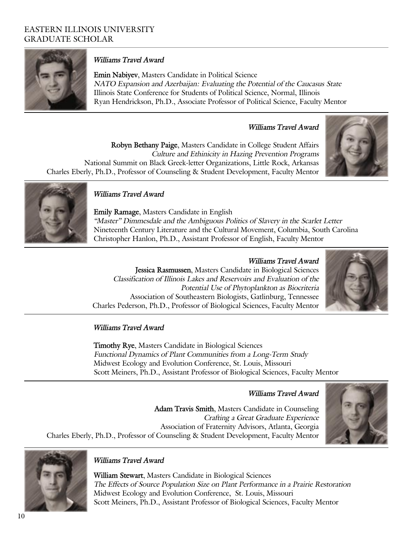

## *Williams Travel Award*

**Emin Nabiyev**, Masters Candidate in Political Science *NATO Expansion and Azerbaijan: Evaluating the Potential of the Caucasus State* Illinois State Conference for Students of Political Science, Normal, Illinois Ryan Hendrickson, Ph.D., Associate Professor of Political Science, Faculty Mentor

#### *Williams Travel Award*

**Robyn Bethany Paige**, Masters Candidate in College Student Affairs *Culture and Ethinicity in Hazing Prevention Programs* National Summit on Black Greek-letter Organizations, Little Rock, Arkansas Charles Eberly, Ph.D., Professor of Counseling & Student Development, Faculty Mentor





## *Williams Travel Award*

**Emily Ramage**, Masters Candidate in English *"Master" Dimmesdale and the Ambiguous Politics of Slavery in the Scarlet Letter* Nineteenth Century Literature and the Cultural Movement, Columbia, South Carolina Christopher Hanlon, Ph.D., Assistant Professor of English, Faculty Mentor

*Williams Travel Award* **Jessica Rasmussen**, Masters Candidate in Biological Sciences *Classification of Illinois Lakes and Reservoirs and Evaluation of the Potential Use of Phytoplankton as Biocriteria* Association of Southeastern Biologists, Gatlinburg, Tennessee Charles Pederson, Ph.D., Professor of Biological Sciences, Faculty Mentor



#### *Williams Travel Award*

**Timothy Rye**, Masters Candidate in Biological Sciences *Functional Dynamics of Plant Communities from a Long-Term Study* Midwest Ecology and Evolution Conference, St. Louis, Missouri Scott Meiners, Ph.D., Assistant Professor of Biological Sciences, Faculty Mentor

#### *Williams Travel Award*

**Adam Travis Smith**, Masters Candidate in Counseling *Crafting a Great Graduate Experience* Association of Fraternity Advisors, Atlanta, Georgia Charles Eberly, Ph.D., Professor of Counseling & Student Development, Faculty Mentor





## *Williams Travel Award*

**William Stewart**, Masters Candidate in Biological Sciences *The Effects of Source Population Size on Plant Performance in a Prairie Restoration* Midwest Ecology and Evolution Conference, St. Louis, Missouri Scott Meiners, Ph.D., Assistant Professor of Biological Sciences, Faculty Mentor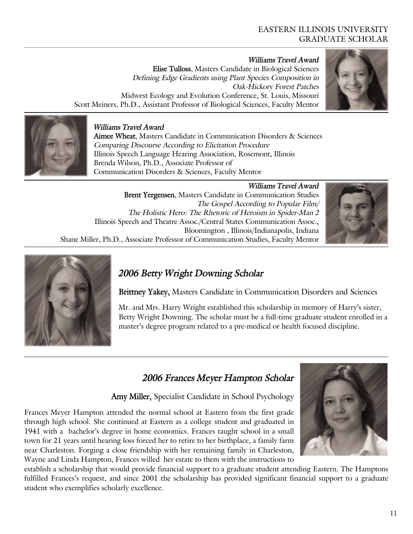## EASTERN ILLINOIS UNIVERSITY GRADUATE SCHOLAR

*Williams Travel Award* **Elise Tulloss**, Masters Candidate in Biological Sciences *Defining Edge Gradients using Plant Species Composition in Oak-Hickory Forest Patches* Midwest Ecology and Evolution Conference, St. Louis, Missouri Scott Meiners, Ph.D., Assistant Professor of Biological Sciences, Faculty Mentor





#### *Williams Travel Award*

**Aimee Wheat**, Masters Candidate in Communication Disorders & Sciences *Comparing Discourse According to Elicitation Procedure* Illinois Speech Language Hearing Association, Rosemont, Illinois Brenda Wilson, Ph.D., Associate Professor of Communication Disorders & Sciences, Faculty Mentor

*Williams Travel Award* **Brent Yergensen**, Masters Candidate in Communication Studies *The Gospel According to Popular Film/ The Holistic Hero: The Rhetoric of Heroism in Spider-Man 2* Illinois Speech and Theatre Assoc./Central States Communication Assoc., Bloomington , Illinois/Indianapolis, Indiana Shane Miller, Ph.D., Associate Professor of Communication Studies, Faculty Mentor





# *2006 Betty Wright Downing Scholar*

**Brittney Yakey,** Masters Candidate in Communication Disorders and Sciences

Mr. and Mrs. Harry Wright established this scholarship in memory of Harry's sister, Betty Wright Downing. The scholar must be a full-time graduate student enrolled in a master's degree program related to a pre-medical or health focused discipline.

# *2006 Frances Meyer Hampton Scholar*

**Amy Miller,** Specialist Candidate in School Psychology

Frances Meyer Hampton attended the normal school at Eastern from the first grade through high school. She continued at Eastern as a college student and graduated in 1941 with a bachelor's degree in home economics. Frances taught school in a small town for 21 years until hearing loss forced her to retire to her birthplace, a family farm near Charleston. Forging a close friendship with her remaining family in Charleston, Wayne and Linda Hampton, Frances willed her estate to them with the instructions to



establish a scholarship that would provide financial support to a graduate student attending Eastern. The Hamptons fulfilled Frances's request, and since 2001 the scholarship has provided significant financial support to a graduate student who exemplifies scholarly excellence.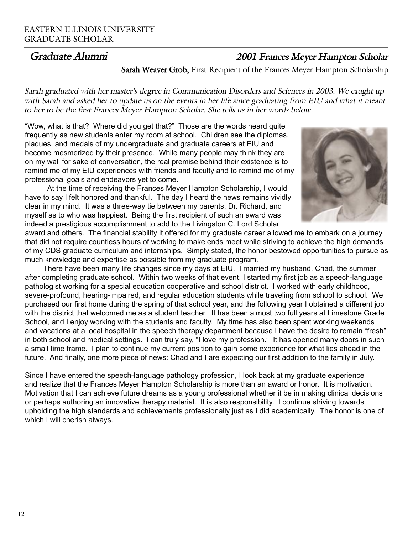# *Graduate Alumni 2001 Frances Meyer Hampton Scholar*

**Sarah Weaver Grob,** First Recipient of the Frances Meyer Hampton Scholarship

*Sarah graduated with her master's degree in Communication Disorders and Sciences in 2003. We caught up*  with Sarah and asked her to update us on the events in her life since graduating from EIU and what it meant *to her to be the first Frances Meyer Hampton Scholar. She tells us in her words below.* 

"Wow, what is that? Where did you get that?" Those are the words heard quite frequently as new students enter my room at school. Children see the diplomas, plaques, and medals of my undergraduate and graduate careers at EIU and become mesmerized by their presence. While many people may think they are on my wall for sake of conversation, the real premise behind their existence is to remind me of my EIU experiences with friends and faculty and to remind me of my professional goals and endeavors yet to come.

 At the time of receiving the Frances Meyer Hampton Scholarship, I would have to say I felt honored and thankful. The day I heard the news remains vividly clear in my mind. It was a three-way tie between my parents, Dr. Richard, and myself as to who was happiest. Being the first recipient of such an award was indeed a prestigious accomplishment to add to the Livingston C. Lord Scholar



award and others. The financial stability it offered for my graduate career allowed me to embark on a journey that did not require countless hours of working to make ends meet while striving to achieve the high demands of my CDS graduate curriculum and internships. Simply stated, the honor bestowed opportunities to pursue as much knowledge and expertise as possible from my graduate program.

 There have been many life changes since my days at EIU. I married my husband, Chad, the summer after completing graduate school. Within two weeks of that event, I started my first job as a speech-language pathologist working for a special education cooperative and school district. I worked with early childhood, severe-profound, hearing-impaired, and regular education students while traveling from school to school. We purchased our first home during the spring of that school year, and the following year I obtained a different job with the district that welcomed me as a student teacher. It has been almost two full years at Limestone Grade School, and I enjoy working with the students and faculty. My time has also been spent working weekends and vacations at a local hospital in the speech therapy department because I have the desire to remain "fresh" in both school and medical settings. I can truly say, "I love my profession." It has opened many doors in such a small time frame. I plan to continue my current position to gain some experience for what lies ahead in the future. And finally, one more piece of news: Chad and I are expecting our first addition to the family in July.

Since I have entered the speech-language pathology profession, I look back at my graduate experience and realize that the Frances Meyer Hampton Scholarship is more than an award or honor. It is motivation. Motivation that I can achieve future dreams as a young professional whether it be in making clinical decisions or perhaps authoring an innovative therapy material. It is also responsibility. I continue striving towards upholding the high standards and achievements professionally just as I did academically. The honor is one of which I will cherish always.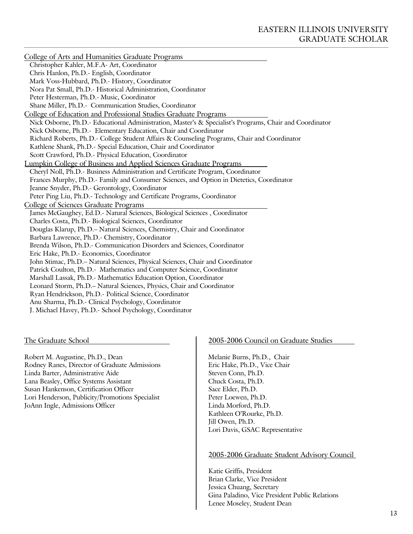College of Arts and Humanities Graduate Programs Christopher Kahler, M.F.A- Art, Coordinator Chris Hanlon, Ph.D.- English, Coordinator Mark Voss-Hubbard, Ph.D.- History, Coordinator Nora Pat Small, Ph.D.- Historical Administration, Coordinator Peter Hesterman, Ph.D.- Music, Coordinator Shane Miller, Ph.D.- Communication Studies, Coordinator College of Education and Professional Studies Graduate Programs Nick Osborne, Ph.D.- Educational Administration, Master's & Specialist's Programs, Chair and Coordinator Nick Osborne, Ph.D.- Elementary Education, Chair and Coordinator Richard Roberts, Ph.D.- College Student Affairs & Counseling Programs, Chair and Coordinator Kathlene Shank, Ph.D.- Special Education, Chair and Coordinator Scott Crawford, Ph.D.- Physical Education, Coordinator Lumpkin College of Business and Applied Sciences Graduate Programs Cheryl Noll, Ph.D.- Business Administration and Certificate Program, Coordinator Frances Murphy, Ph.D.- Family and Consumer Sciences, and Option in Dietetics, Coordinator Jeanne Snyder, Ph.D.- Gerontology, Coordinator Peter Ping Liu, Ph.D.- Technology and Certificate Programs, Coordinator College of Sciences Graduate Programs James McGaughey, Ed.D.- Natural Sciences, Biological Sciences , Coordinator Charles Costa, Ph.D.- Biological Sciences, Coordinator Douglas Klarup, Ph.D.– Natural Sciences, Chemistry, Chair and Coordinator Barbara Lawrence, Ph.D.- Chemistry, Coordinator Brenda Wilson, Ph.D.- Communication Disorders and Sciences, Coordinator Eric Hake, Ph.D.- Economics, Coordinator John Stimac, Ph.D.– Natural Sciences, Physical Sciences, Chair and Coordinator Patrick Coulton, Ph.D.- Mathematics and Computer Science, Coordinator Marshall Lassak, Ph.D.- Mathematics Education Option, Coordinator Leonard Storm, Ph.D.– Natural Sciences, Physics, Chair and Coordinator Ryan Hendrickson, Ph.D.- Political Science, Coordinator Anu Sharma, Ph.D.- Clinical Psychology, Coordinator J. Michael Havey, Ph.D.- School Psychology, Coordinator

The Graduate School

Robert M. Augustine, Ph.D., Dean Rodney Ranes, Director of Graduate Admissions Linda Barter, Administrative Aide Lana Beasley, Office Systems Assistant Susan Hankenson, Certification Officer Lori Henderson, Publicity/Promotions Specialist JoAnn Ingle, Admissions Officer

#### 2005-2006 Council on Graduate Studies

Melanie Burns, Ph.D., Chair Eric Hake, Ph.D., Vice Chair Steven Conn, Ph.D. Chuck Costa, Ph.D. Sace Elder, Ph.D. Peter Loewen, Ph.D. Linda Morford, Ph.D. Kathleen O'Rourke, Ph.D. Jill Owen, Ph.D. Lori Davis, GSAC Representative

2005-2006 Graduate Student Advisory Council

Katie Griffis, President Brian Clarke, Vice President Jessica Chuang, Secretary Gina Paladino, Vice President Public Relations Lenee Moseley, Student Dean